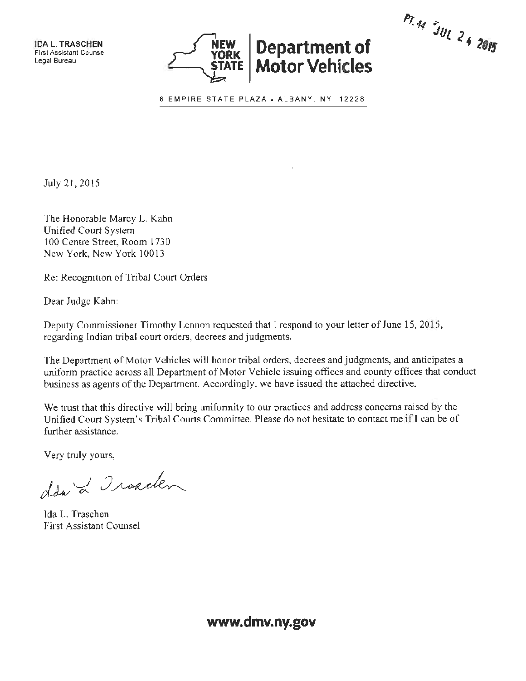IDA **L. TRASCHEN**  First Assistant Counsel Legal Bureau



PT. 44 JUL 24 2015

6 EMPIRE STATE PLAZA . ALBANY, NY 12228

July 21, 2015

The Honorable Marcy L. Kahn Unified Court System l 00 Centre Street, Room 1730 New York, New York 10013

Re: Recognition of Tribal Court Orders

Dear Judge Kahn:

Deputy Commissioner Timothy Lennon requested that I respond to your letter of June 15, 2015, regarding Indian tribal court orders, decrees and judgments.

The Department of Motor Vehicles will honor tribal orders, decrees and judgments, and anticipates a uniform practice across all Department of Motor Vehicle issuing offices and county offices that conduct business as agents of the Department. Accordingly, we have issued the attached directive.

We trust that this directive will bring uniformity to our practices and address concerns raised by the Unified Court System's Tribal Courts Committee. Please do not hesitate to contact me ifl can be of further assistance.

Very truly yours,

dda & Irakelen

Ida L. Traschen First Assistant Counsel

**www.dmv.ny.gov**